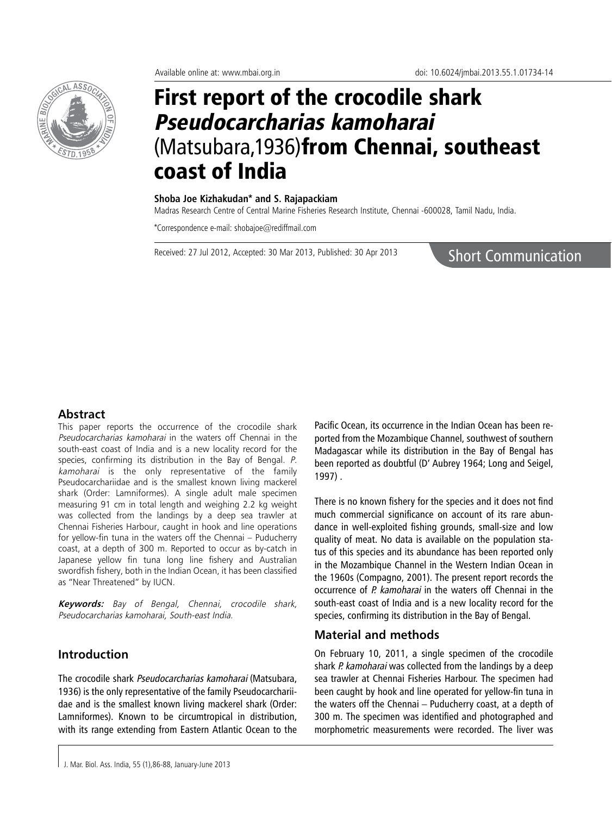

# First report of the crocodile shark Pseudocarcharias kamoharai (Matsubara,1936)from Chennai, southeast coast of India

#### **Shoba Joe Kizhakudan\* and S. Rajapackiam**

Madras Research Centre of Central Marine Fisheries Research Institute, Chennai -600028, Tamil Nadu, India.

\*Correspondence e-mail: shobajoe@rediffmail.com

Received: 27 Jul 2012, Accepted: 30 Mar 2013, Published: 30 Apr 2013

Short Communication

# **Abstract**

This paper reports the occurrence of the crocodile shark Pseudocarcharias kamoharai in the waters off Chennai in the south-east coast of India and is a new locality record for the species, confirming its distribution in the Bay of Bengal. P. kamoharai is the only representative of the family Pseudocarchariidae and is the smallest known living mackerel shark (Order: Lamniformes). A single adult male specimen measuring 91 cm in total length and weighing 2.2 kg weight was collected from the landings by a deep sea trawler at Chennai Fisheries Harbour, caught in hook and line operations for yellow-fin tuna in the waters off the Chennai – Puducherry coast, at a depth of 300 m. Reported to occur as by-catch in Japanese yellow fin tuna long line fishery and Australian swordfish fishery, both in the Indian Ocean, it has been classified as "Near Threatened" by IUCN.

**Keywords:** Bay of Bengal, Chennai, crocodile shark, Pseudocarcharias kamoharai, South-east India.

# **Introduction**

The crocodile shark Pseudocarcharias kamoharai (Matsubara, 1936) is the only representative of the family Pseudocarchariidae and is the smallest known living mackerel shark (Order: Lamniformes). Known to be circumtropical in distribution, with its range extending from Eastern Atlantic Ocean to the

Pacific Ocean, its occurrence in the Indian Ocean has been reported from the Mozambique Channel, southwest of southern Madagascar while its distribution in the Bay of Bengal has been reported as doubtful (D' Aubrey 1964; Long and Seigel, 1997) .

There is no known fishery for the species and it does not find much commercial significance on account of its rare abundance in well-exploited fishing grounds, small-size and low quality of meat. No data is available on the population status of this species and its abundance has been reported only in the Mozambique Channel in the Western Indian Ocean in the 1960s (Compagno, 2001). The present report records the occurrence of P. kamoharai in the waters off Chennai in the south-east coast of India and is a new locality record for the species, confirming its distribution in the Bay of Bengal.

# **Material and methods**

On February 10, 2011, a single specimen of the crocodile shark P. kamoharai was collected from the landings by a deep sea trawler at Chennai Fisheries Harbour. The specimen had been caught by hook and line operated for yellow-fin tuna in the waters off the Chennai – Puducherry coast, at a depth of 300 m. The specimen was identified and photographed and morphometric measurements were recorded. The liver was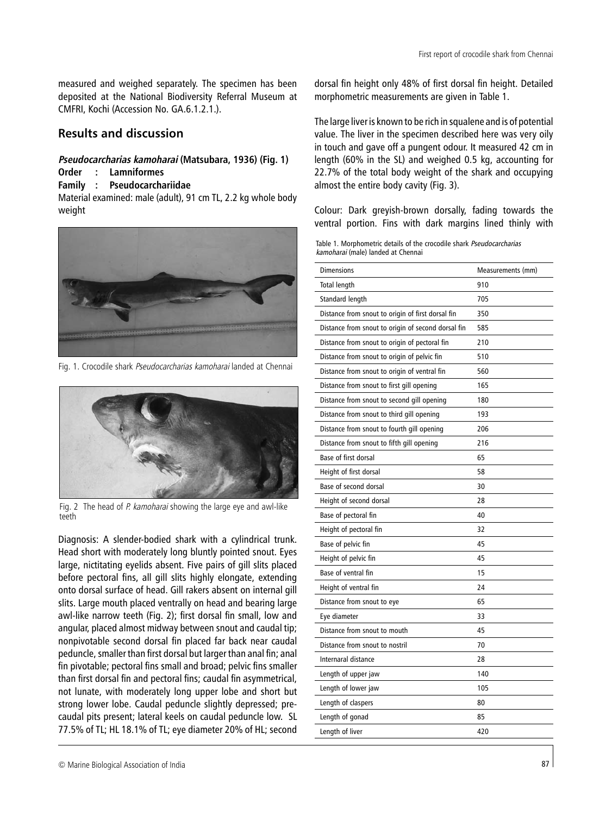measured and weighed separately. The specimen has been deposited at the National Biodiversity Referral Museum at CMFRI, Kochi (Accession No. GA.6.1.2.1.).

# **Results and discussion**

#### **Pseudocarcharias kamoharai (Matsubara, 1936) (Fig. 1)**

# **Order : Lamniformes**

# **Family : Pseudocarchariidae**

Material examined: male (adult), 91 cm TL, 2.2 kg whole body weight



Fig. 1. Crocodile shark Pseudocarcharias kamoharai landed at Chennai



Fig. 2 The head of P. kamoharai showing the large eye and awl-like teeth

Diagnosis: A slender-bodied shark with a cylindrical trunk. Head short with moderately long bluntly pointed snout. Eyes large, nictitating eyelids absent. Five pairs of gill slits placed before pectoral fins, all gill slits highly elongate, extending onto dorsal surface of head. Gill rakers absent on internal gill slits. Large mouth placed ventrally on head and bearing large awl-like narrow teeth (Fig. 2); first dorsal fin small, low and angular, placed almost midway between snout and caudal tip; nonpivotable second dorsal fin placed far back near caudal peduncle, smaller than first dorsal but larger than anal fin; anal fin pivotable; pectoral fins small and broad; pelvic fins smaller than first dorsal fin and pectoral fins; caudal fin asymmetrical, not lunate, with moderately long upper lobe and short but strong lower lobe. Caudal peduncle slightly depressed; precaudal pits present; lateral keels on caudal peduncle low. SL 77.5% of TL; HL 18.1% of TL; eye diameter 20% of HL; second

dorsal fin height only 48% of first dorsal fin height. Detailed morphometric measurements are given in Table 1.

The large liver is known to be rich in squalene and is of potential value. The liver in the specimen described here was very oily in touch and gave off a pungent odour. It measured 42 cm in length (60% in the SL) and weighed 0.5 kg, accounting for 22.7% of the total body weight of the shark and occupying almost the entire body cavity (Fig. 3).

Colour: Dark greyish-brown dorsally, fading towards the ventral portion. Fins with dark margins lined thinly with

Table 1. Morphometric details of the crocodile shark Pseudocarcharias kamoharai (male) landed at Chennai

| <b>Total length</b><br>910<br>705<br>Standard length<br>Distance from snout to origin of first dorsal fin<br>350<br>Distance from snout to origin of second dorsal fin<br>585<br>Distance from snout to origin of pectoral fin<br>210<br>510<br>Distance from snout to origin of pelvic fin<br>Distance from snout to origin of ventral fin<br>560<br>Distance from snout to first gill opening<br>165<br>180<br>Distance from snout to second gill opening<br>Distance from snout to third gill opening<br>193<br>Distance from snout to fourth gill opening<br>206<br>216<br>Distance from snout to fifth gill opening<br>Base of first dorsal<br>65<br>Height of first dorsal<br>58<br>Base of second dorsal<br>30<br>Height of second dorsal<br>28<br>Base of pectoral fin<br>40<br>32<br>Height of pectoral fin<br>Base of pelvic fin<br>45<br>Height of pelvic fin<br>45<br>Base of ventral fin<br>15<br>Height of ventral fin<br>24<br>65<br>Distance from snout to eye<br>Eye diameter<br>33<br>Distance from snout to mouth<br>45<br>70<br>Distance from snout to nostril<br>Internaral distance<br>28<br>140<br>Length of upper jaw<br>Length of lower jaw<br>105<br>80<br>Length of claspers<br>Length of gonad<br>85<br>Length of liver<br>420 | <b>Dimensions</b> | Measurements (mm) |
|------------------------------------------------------------------------------------------------------------------------------------------------------------------------------------------------------------------------------------------------------------------------------------------------------------------------------------------------------------------------------------------------------------------------------------------------------------------------------------------------------------------------------------------------------------------------------------------------------------------------------------------------------------------------------------------------------------------------------------------------------------------------------------------------------------------------------------------------------------------------------------------------------------------------------------------------------------------------------------------------------------------------------------------------------------------------------------------------------------------------------------------------------------------------------------------------------------------------------------------------------------|-------------------|-------------------|
|                                                                                                                                                                                                                                                                                                                                                                                                                                                                                                                                                                                                                                                                                                                                                                                                                                                                                                                                                                                                                                                                                                                                                                                                                                                            |                   |                   |
|                                                                                                                                                                                                                                                                                                                                                                                                                                                                                                                                                                                                                                                                                                                                                                                                                                                                                                                                                                                                                                                                                                                                                                                                                                                            |                   |                   |
|                                                                                                                                                                                                                                                                                                                                                                                                                                                                                                                                                                                                                                                                                                                                                                                                                                                                                                                                                                                                                                                                                                                                                                                                                                                            |                   |                   |
|                                                                                                                                                                                                                                                                                                                                                                                                                                                                                                                                                                                                                                                                                                                                                                                                                                                                                                                                                                                                                                                                                                                                                                                                                                                            |                   |                   |
|                                                                                                                                                                                                                                                                                                                                                                                                                                                                                                                                                                                                                                                                                                                                                                                                                                                                                                                                                                                                                                                                                                                                                                                                                                                            |                   |                   |
|                                                                                                                                                                                                                                                                                                                                                                                                                                                                                                                                                                                                                                                                                                                                                                                                                                                                                                                                                                                                                                                                                                                                                                                                                                                            |                   |                   |
|                                                                                                                                                                                                                                                                                                                                                                                                                                                                                                                                                                                                                                                                                                                                                                                                                                                                                                                                                                                                                                                                                                                                                                                                                                                            |                   |                   |
|                                                                                                                                                                                                                                                                                                                                                                                                                                                                                                                                                                                                                                                                                                                                                                                                                                                                                                                                                                                                                                                                                                                                                                                                                                                            |                   |                   |
|                                                                                                                                                                                                                                                                                                                                                                                                                                                                                                                                                                                                                                                                                                                                                                                                                                                                                                                                                                                                                                                                                                                                                                                                                                                            |                   |                   |
|                                                                                                                                                                                                                                                                                                                                                                                                                                                                                                                                                                                                                                                                                                                                                                                                                                                                                                                                                                                                                                                                                                                                                                                                                                                            |                   |                   |
|                                                                                                                                                                                                                                                                                                                                                                                                                                                                                                                                                                                                                                                                                                                                                                                                                                                                                                                                                                                                                                                                                                                                                                                                                                                            |                   |                   |
|                                                                                                                                                                                                                                                                                                                                                                                                                                                                                                                                                                                                                                                                                                                                                                                                                                                                                                                                                                                                                                                                                                                                                                                                                                                            |                   |                   |
|                                                                                                                                                                                                                                                                                                                                                                                                                                                                                                                                                                                                                                                                                                                                                                                                                                                                                                                                                                                                                                                                                                                                                                                                                                                            |                   |                   |
|                                                                                                                                                                                                                                                                                                                                                                                                                                                                                                                                                                                                                                                                                                                                                                                                                                                                                                                                                                                                                                                                                                                                                                                                                                                            |                   |                   |
|                                                                                                                                                                                                                                                                                                                                                                                                                                                                                                                                                                                                                                                                                                                                                                                                                                                                                                                                                                                                                                                                                                                                                                                                                                                            |                   |                   |
|                                                                                                                                                                                                                                                                                                                                                                                                                                                                                                                                                                                                                                                                                                                                                                                                                                                                                                                                                                                                                                                                                                                                                                                                                                                            |                   |                   |
|                                                                                                                                                                                                                                                                                                                                                                                                                                                                                                                                                                                                                                                                                                                                                                                                                                                                                                                                                                                                                                                                                                                                                                                                                                                            |                   |                   |
|                                                                                                                                                                                                                                                                                                                                                                                                                                                                                                                                                                                                                                                                                                                                                                                                                                                                                                                                                                                                                                                                                                                                                                                                                                                            |                   |                   |
|                                                                                                                                                                                                                                                                                                                                                                                                                                                                                                                                                                                                                                                                                                                                                                                                                                                                                                                                                                                                                                                                                                                                                                                                                                                            |                   |                   |
|                                                                                                                                                                                                                                                                                                                                                                                                                                                                                                                                                                                                                                                                                                                                                                                                                                                                                                                                                                                                                                                                                                                                                                                                                                                            |                   |                   |
|                                                                                                                                                                                                                                                                                                                                                                                                                                                                                                                                                                                                                                                                                                                                                                                                                                                                                                                                                                                                                                                                                                                                                                                                                                                            |                   |                   |
|                                                                                                                                                                                                                                                                                                                                                                                                                                                                                                                                                                                                                                                                                                                                                                                                                                                                                                                                                                                                                                                                                                                                                                                                                                                            |                   |                   |
|                                                                                                                                                                                                                                                                                                                                                                                                                                                                                                                                                                                                                                                                                                                                                                                                                                                                                                                                                                                                                                                                                                                                                                                                                                                            |                   |                   |
|                                                                                                                                                                                                                                                                                                                                                                                                                                                                                                                                                                                                                                                                                                                                                                                                                                                                                                                                                                                                                                                                                                                                                                                                                                                            |                   |                   |
|                                                                                                                                                                                                                                                                                                                                                                                                                                                                                                                                                                                                                                                                                                                                                                                                                                                                                                                                                                                                                                                                                                                                                                                                                                                            |                   |                   |
|                                                                                                                                                                                                                                                                                                                                                                                                                                                                                                                                                                                                                                                                                                                                                                                                                                                                                                                                                                                                                                                                                                                                                                                                                                                            |                   |                   |
|                                                                                                                                                                                                                                                                                                                                                                                                                                                                                                                                                                                                                                                                                                                                                                                                                                                                                                                                                                                                                                                                                                                                                                                                                                                            |                   |                   |
|                                                                                                                                                                                                                                                                                                                                                                                                                                                                                                                                                                                                                                                                                                                                                                                                                                                                                                                                                                                                                                                                                                                                                                                                                                                            |                   |                   |
|                                                                                                                                                                                                                                                                                                                                                                                                                                                                                                                                                                                                                                                                                                                                                                                                                                                                                                                                                                                                                                                                                                                                                                                                                                                            |                   |                   |
|                                                                                                                                                                                                                                                                                                                                                                                                                                                                                                                                                                                                                                                                                                                                                                                                                                                                                                                                                                                                                                                                                                                                                                                                                                                            |                   |                   |
|                                                                                                                                                                                                                                                                                                                                                                                                                                                                                                                                                                                                                                                                                                                                                                                                                                                                                                                                                                                                                                                                                                                                                                                                                                                            |                   |                   |
|                                                                                                                                                                                                                                                                                                                                                                                                                                                                                                                                                                                                                                                                                                                                                                                                                                                                                                                                                                                                                                                                                                                                                                                                                                                            |                   |                   |